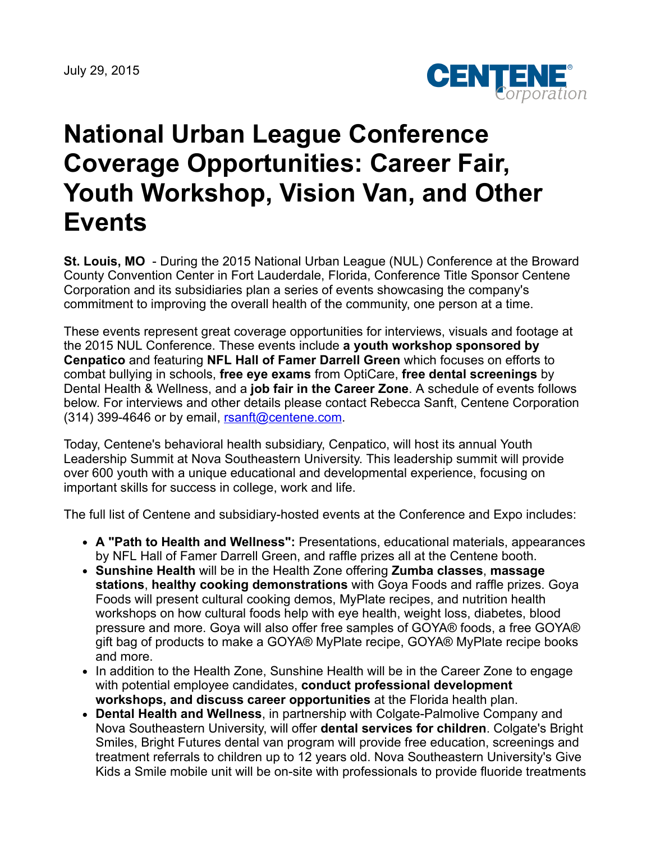July 29, 2015



# **National Urban League Conference Coverage Opportunities: Career Fair, Youth Workshop, Vision Van, and Other Events**

**St. Louis, MO** - During the 2015 National Urban League (NUL) Conference at the Broward County Convention Center in Fort Lauderdale, Florida, Conference Title Sponsor Centene Corporation and its subsidiaries plan a series of events showcasing the company's commitment to improving the overall health of the community, one person at a time.

These events represent great coverage opportunities for interviews, visuals and footage at the 2015 NUL Conference. These events include **a youth workshop sponsored by Cenpatico** and featuring **NFL Hall of Famer Darrell Green** which focuses on efforts to combat bullying in schools, **free eye exams** from OptiCare, **free dental screenings** by Dental Health & Wellness, and a **job fair in the Career Zone**. A schedule of events follows below. For interviews and other details please contact Rebecca Sanft, Centene Corporation (314) 399-4646 or by email, [rsanft@centene.com.](mailto:rsanft@centene.com)

Today, Centene's behavioral health subsidiary, Cenpatico, will host its annual Youth Leadership Summit at Nova Southeastern University. This leadership summit will provide over 600 youth with a unique educational and developmental experience, focusing on important skills for success in college, work and life.

The full list of Centene and subsidiary-hosted events at the Conference and Expo includes:

- **A "Path to Health and Wellness":** Presentations, educational materials, appearances by NFL Hall of Famer Darrell Green, and raffle prizes all at the Centene booth.
- **Sunshine Health** will be in the Health Zone offering **Zumba classes**, **massage stations**, **healthy cooking demonstrations** with Goya Foods and raffle prizes. Goya Foods will present cultural cooking demos, MyPlate recipes, and nutrition health workshops on how cultural foods help with eye health, weight loss, diabetes, blood pressure and more. Goya will also offer free samples of GOYA® foods, a free GOYA® gift bag of products to make a GOYA® MyPlate recipe, GOYA® MyPlate recipe books and more.
- In addition to the Health Zone, Sunshine Health will be in the Career Zone to engage with potential employee candidates, **conduct professional development workshops, and discuss career opportunities** at the Florida health plan.
- **Dental Health and Wellness**, in partnership with Colgate-Palmolive Company and Nova Southeastern University, will offer **dental services for children**. Colgate's Bright Smiles, Bright Futures dental van program will provide free education, screenings and treatment referrals to children up to 12 years old. Nova Southeastern University's Give Kids a Smile mobile unit will be on-site with professionals to provide fluoride treatments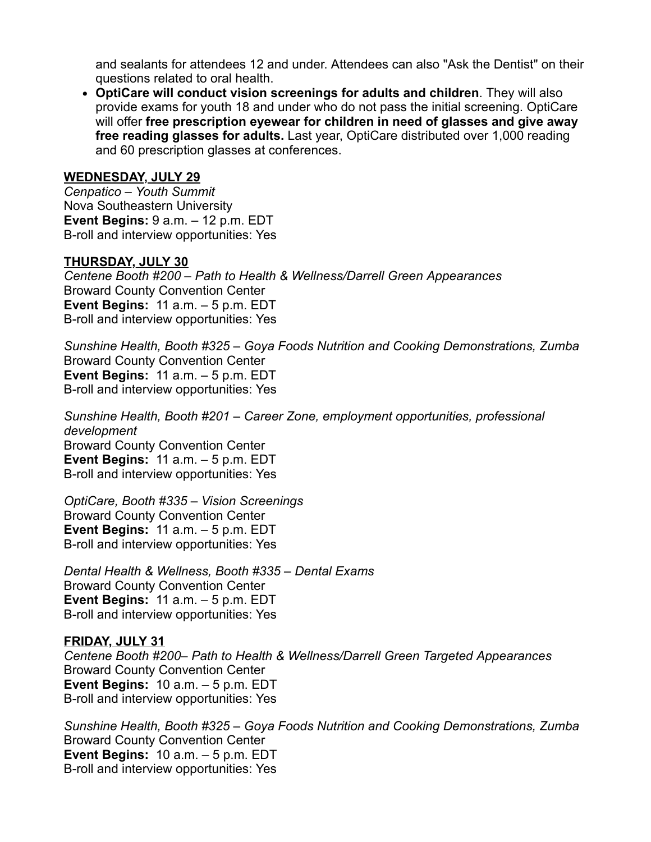and sealants for attendees 12 and under. Attendees can also "Ask the Dentist" on their questions related to oral health.

**OptiCare will conduct vision screenings for adults and children**. They will also provide exams for youth 18 and under who do not pass the initial screening. OptiCare will offer **free prescription eyewear for children in need of glasses and give away free reading glasses for adults.** Last year, OptiCare distributed over 1,000 reading and 60 prescription glasses at conferences.

#### **WEDNESDAY, JULY 29**

*Cenpatico – Youth Summit* Nova Southeastern University **Event Begins:** 9 a.m. – 12 p.m. EDT B-roll and interview opportunities: Yes

## **THURSDAY, JULY 30**

*Centene Booth #200 – Path to Health & Wellness/Darrell Green Appearances* Broward County Convention Center **Event Begins:** 11 a.m. – 5 p.m. EDT B-roll and interview opportunities: Yes

*Sunshine Health, Booth #325 – Goya Foods Nutrition and Cooking Demonstrations, Zumba* Broward County Convention Center **Event Begins:** 11 a.m. – 5 p.m. EDT B-roll and interview opportunities: Yes

*Sunshine Health, Booth #201 – Career Zone, employment opportunities, professional development* Broward County Convention Center **Event Begins:** 11 a.m. – 5 p.m. EDT B-roll and interview opportunities: Yes

*OptiCare, Booth #335 – Vision Screenings* Broward County Convention Center **Event Begins:** 11 a.m. – 5 p.m. EDT B-roll and interview opportunities: Yes

*Dental Health & Wellness, Booth #335 – Dental Exams* Broward County Convention Center **Event Begins:** 11 a.m. – 5 p.m. EDT B-roll and interview opportunities: Yes

#### **FRIDAY, JULY 31**

*Centene Booth #200– Path to Health & Wellness/Darrell Green Targeted Appearances* Broward County Convention Center **Event Begins:** 10 a.m. – 5 p.m. EDT B-roll and interview opportunities: Yes

*Sunshine Health, Booth #325 – Goya Foods Nutrition and Cooking Demonstrations, Zumba* Broward County Convention Center **Event Begins:** 10 a.m. – 5 p.m. EDT B-roll and interview opportunities: Yes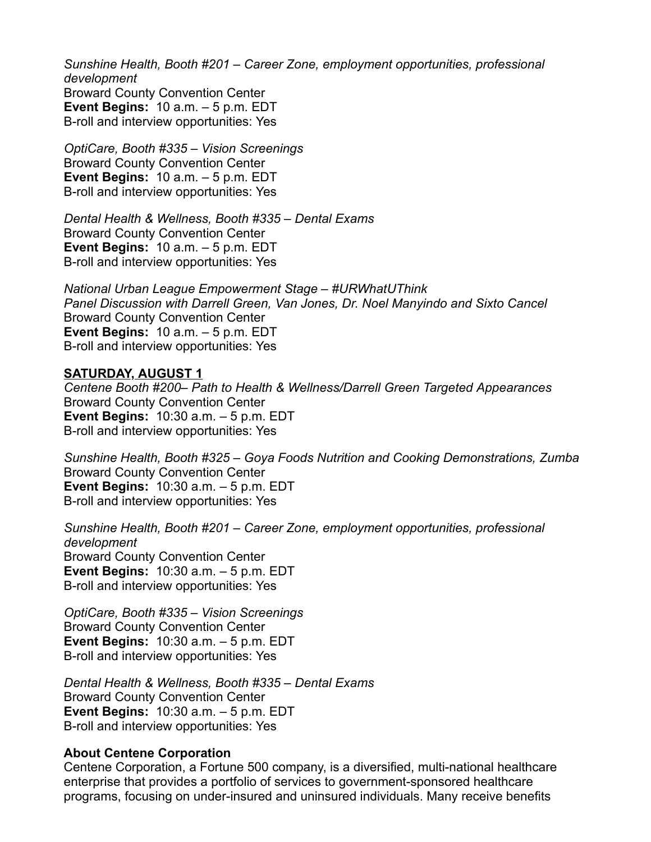*Sunshine Health, Booth #201 – Career Zone, employment opportunities, professional development* Broward County Convention Center **Event Begins:** 10 a.m. – 5 p.m. EDT B-roll and interview opportunities: Yes

*OptiCare, Booth #335 – Vision Screenings* Broward County Convention Center **Event Begins:** 10 a.m. – 5 p.m. EDT B-roll and interview opportunities: Yes

*Dental Health & Wellness, Booth #335 – Dental Exams* Broward County Convention Center **Event Begins:** 10 a.m. – 5 p.m. EDT B-roll and interview opportunities: Yes

*National Urban League Empowerment Stage – #URWhatUThink Panel Discussion with Darrell Green, Van Jones, Dr. Noel Manyindo and Sixto Cancel* Broward County Convention Center **Event Begins:** 10 a.m. – 5 p.m. EDT B-roll and interview opportunities: Yes

#### **SATURDAY, AUGUST 1**

*Centene Booth #200– Path to Health & Wellness/Darrell Green Targeted Appearances* Broward County Convention Center **Event Begins:** 10:30 a.m. – 5 p.m. EDT B-roll and interview opportunities: Yes

*Sunshine Health, Booth #325 – Goya Foods Nutrition and Cooking Demonstrations, Zumba* Broward County Convention Center **Event Begins:** 10:30 a.m. – 5 p.m. EDT B-roll and interview opportunities: Yes

*Sunshine Health, Booth #201 – Career Zone, employment opportunities, professional development* Broward County Convention Center **Event Begins:** 10:30 a.m. – 5 p.m. EDT B-roll and interview opportunities: Yes

*OptiCare, Booth #335 – Vision Screenings* Broward County Convention Center **Event Begins:** 10:30 a.m. – 5 p.m. EDT B-roll and interview opportunities: Yes

*Dental Health & Wellness, Booth #335 – Dental Exams* Broward County Convention Center **Event Begins:** 10:30 a.m. – 5 p.m. EDT B-roll and interview opportunities: Yes

#### **About Centene Corporation**

Centene Corporation, a Fortune 500 company, is a diversified, multi-national healthcare enterprise that provides a portfolio of services to government-sponsored healthcare programs, focusing on under-insured and uninsured individuals. Many receive benefits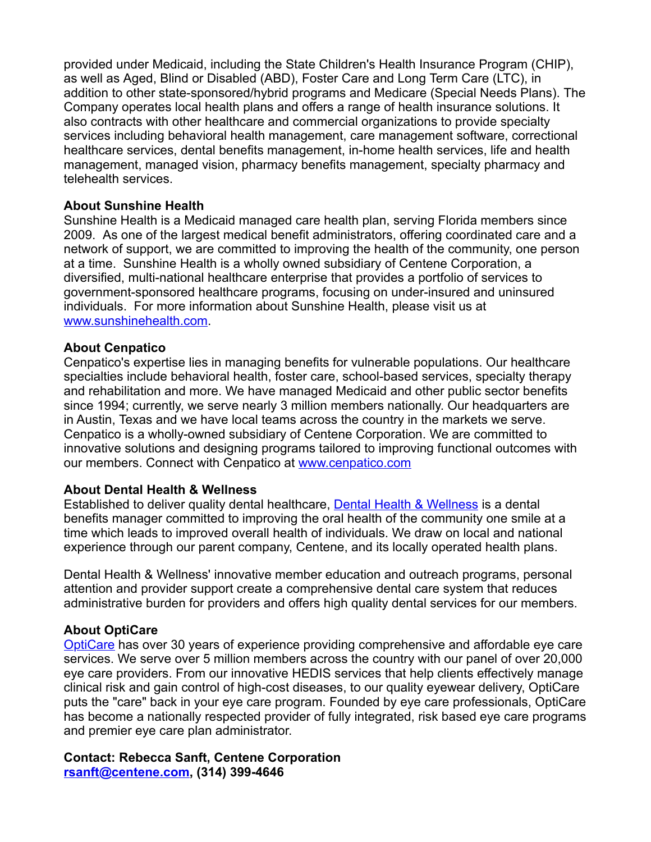provided under Medicaid, including the State Children's Health Insurance Program (CHIP), as well as Aged, Blind or Disabled (ABD), Foster Care and Long Term Care (LTC), in addition to other state-sponsored/hybrid programs and Medicare (Special Needs Plans). The Company operates local health plans and offers a range of health insurance solutions. It also contracts with other healthcare and commercial organizations to provide specialty services including behavioral health management, care management software, correctional healthcare services, dental benefits management, in-home health services, life and health management, managed vision, pharmacy benefits management, specialty pharmacy and telehealth services.

### **About Sunshine Health**

Sunshine Health is a Medicaid managed care health plan, serving Florida members since 2009. As one of the largest medical benefit administrators, offering coordinated care and a network of support, we are committed to improving the health of the community, one person at a time. Sunshine Health is a wholly owned subsidiary of Centene Corporation, a diversified, multi-national healthcare enterprise that provides a portfolio of services to government-sponsored healthcare programs, focusing on under-insured and uninsured individuals. For more information about Sunshine Health, please visit us at [www.sunshinehealth.com.](http://www.sunshinehealth.com/)

#### **About Cenpatico**

Cenpatico's expertise lies in managing benefits for vulnerable populations. Our healthcare specialties include behavioral health, foster care, school-based services, specialty therapy and rehabilitation and more. We have managed Medicaid and other public sector benefits since 1994; currently, we serve nearly 3 million members nationally. Our headquarters are in Austin, Texas and we have local teams across the country in the markets we serve. Cenpatico is a wholly-owned subsidiary of Centene Corporation. We are committed to innovative solutions and designing programs tailored to improving functional outcomes with our members. Connect with Cenpatico at [www.cenpatico.com](http://www.cenpatico.com/)

#### **About Dental Health & Wellness**

Established to deliver quality dental healthcare, **[Dental Health & Wellness](http://www.dentalhw.com/)** is a dental benefits manager committed to improving the oral health of the community one smile at a time which leads to improved overall health of individuals. We draw on local and national experience through our parent company, Centene, and its locally operated health plans.

Dental Health & Wellness' innovative member education and outreach programs, personal attention and provider support create a comprehensive dental care system that reduces administrative burden for providers and offers high quality dental services for our members.

## **About OptiCare**

[OptiCare](http://www.opticare.com/) has over 30 years of experience providing comprehensive and affordable eye care services. We serve over 5 million members across the country with our panel of over 20,000 eye care providers. From our innovative HEDIS services that help clients effectively manage clinical risk and gain control of high-cost diseases, to our quality eyewear delivery, OptiCare puts the "care" back in your eye care program. Founded by eye care professionals, OptiCare has become a nationally respected provider of fully integrated, risk based eye care programs and premier eye care plan administrator.

#### **Contact: Rebecca Sanft, Centene Corporation [rsanft@centene.com](mailto:rsanft@centene.com), (314) 399-4646**